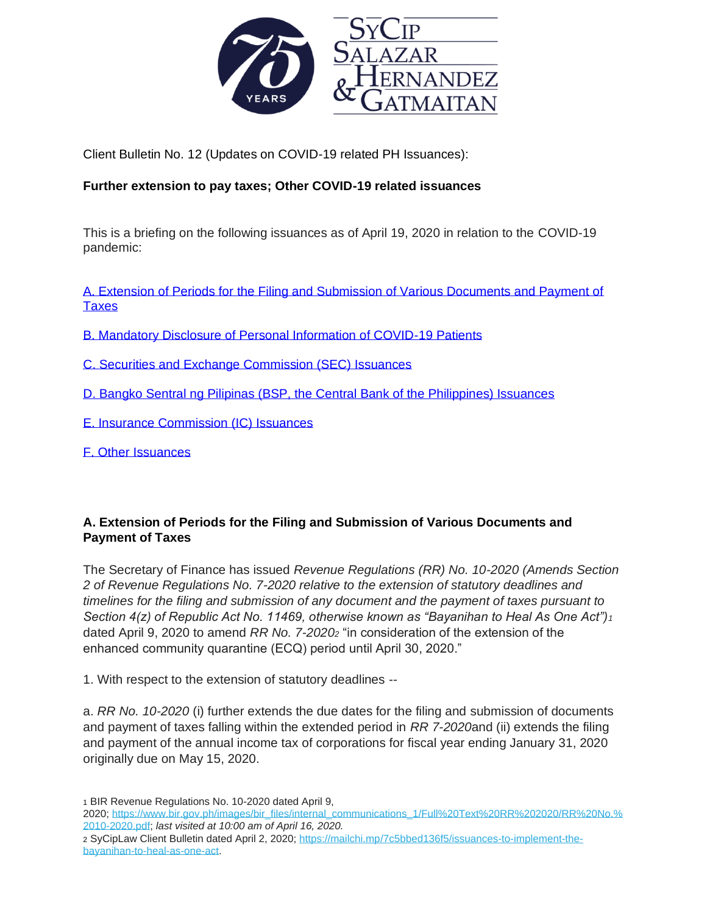

Client Bulletin No. 12 (Updates on COVID-19 related PH Issuances):

## **Further extension to pay taxes; Other COVID-19 related issuances**

This is a briefing on the following issuances as of April 19, 2020 in relation to the COVID-19 pandemic:

[A. Extension of Periods for the Filing and Submission of Various Documents and Payment of](#page-0-0)  **[Taxes](#page-0-0)** 

- [B. Mandatory Disclosure of Personal Information of COVID-19 Patients](#page-2-0)
- [C. Securities and Exchange Commission \(SEC\) Issuances](#page-2-1)
- [D. Bangko Sentral ng Pilipinas \(BSP, the Central Bank of the Philippines\) Issuances](#page-4-0)
- [E. Insurance Commission \(IC\) Issuances](#page-5-0)
- [F. Other Issuances](#page-6-0)

# <span id="page-0-0"></span>**A. Extension of Periods for the Filing and Submission of Various Documents and Payment of Taxes**

The Secretary of Finance has issued *Revenue Regulations (RR) No. 10-2020 (Amends Section 2 of Revenue Regulations No. 7-2020 relative to the extension of statutory deadlines and timelines for the filing and submission of any document and the payment of taxes pursuant to Section 4(z) of Republic Act No. 11469, otherwise known as "Bayanihan to Heal As One Act")<sup>1</sup>* dated April 9, 2020 to amend *RR No. 7-2020<sup>2</sup>* "in consideration of the extension of the enhanced community quarantine (ECQ) period until April 30, 2020."

1. With respect to the extension of statutory deadlines --

a. *RR No. 10-2020* (i) further extends the due dates for the filing and submission of documents and payment of taxes falling within the extended period in *RR 7-2020*and (ii) extends the filing and payment of the annual income tax of corporations for fiscal year ending January 31, 2020 originally due on May 15, 2020.

1 BIR Revenue Regulations No. 10-2020 dated April 9,

<sup>2020;</sup> [https://www.bir.gov.ph/images/bir\\_files/internal\\_communications\\_1/Full%20Text%20RR%202020/RR%20No.%](https://www.bir.gov.ph/images/bir_files/internal_communications_1/Full%20Text%20RR%202020/RR%20No.%2010-2020.pdf) [2010-2020.pdf;](https://www.bir.gov.ph/images/bir_files/internal_communications_1/Full%20Text%20RR%202020/RR%20No.%2010-2020.pdf) *last visited at 10:00 am of April 16, 2020.*

<sup>2</sup> SyCipLaw Client Bulletin dated April 2, 2020; [https://mailchi.mp/7c5bbed136f5/issuances-to-implement-the](https://mailchi.mp/7c5bbed136f5/issuances-to-implement-the-bayanihan-to-heal-as-one-act)[bayanihan-to-heal-as-one-act.](https://mailchi.mp/7c5bbed136f5/issuances-to-implement-the-bayanihan-to-heal-as-one-act)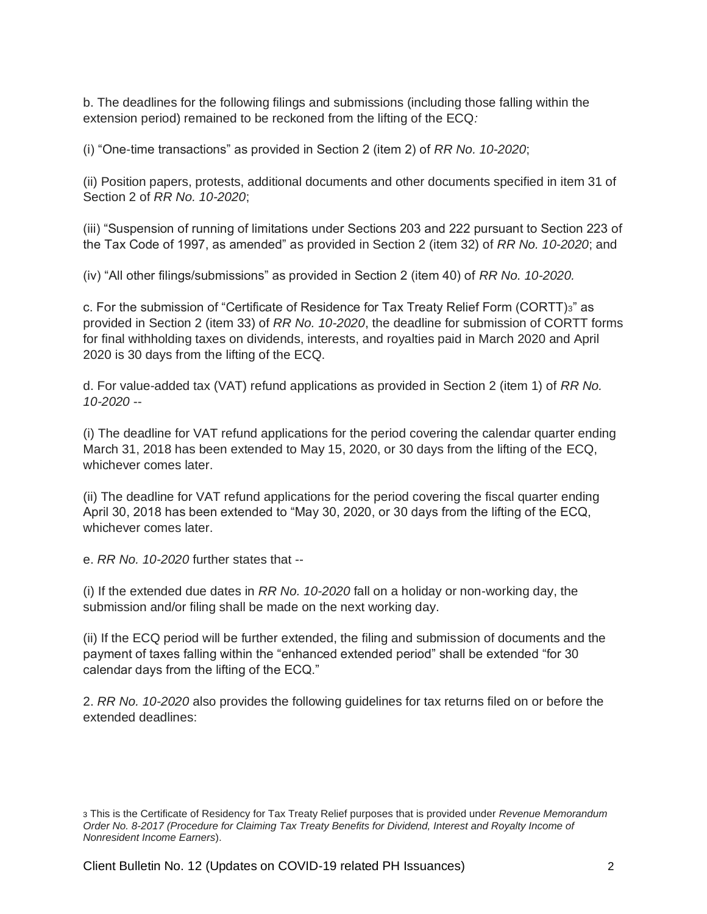b. The deadlines for the following filings and submissions (including those falling within the extension period) remained to be reckoned from the lifting of the ECQ*:*

(i) "One-time transactions" as provided in Section 2 (item 2) of *RR No. 10-2020*;

(ii) Position papers, protests, additional documents and other documents specified in item 31 of Section 2 of *RR No. 10-2020*;

(iii) "Suspension of running of limitations under Sections 203 and 222 pursuant to Section 223 of the Tax Code of 1997, as amended" as provided in Section 2 (item 32) of *RR No. 10-2020*; and

(iv) "All other filings/submissions" as provided in Section 2 (item 40) of *RR No. 10-2020.*

c. For the submission of "Certificate of Residence for Tax Treaty Relief Form (CORTT)3" as provided in Section 2 (item 33) of *RR No. 10-2020*, the deadline for submission of CORTT forms for final withholding taxes on dividends, interests, and royalties paid in March 2020 and April 2020 is 30 days from the lifting of the ECQ.

d. For value-added tax (VAT) refund applications as provided in Section 2 (item 1) of *RR No. 10-2020* --

(i) The deadline for VAT refund applications for the period covering the calendar quarter ending March 31, 2018 has been extended to May 15, 2020, or 30 days from the lifting of the ECQ, whichever comes later.

(ii) The deadline for VAT refund applications for the period covering the fiscal quarter ending April 30, 2018 has been extended to "May 30, 2020, or 30 days from the lifting of the ECQ, whichever comes later.

e. *RR No. 10-2020* further states that --

(i) If the extended due dates in *RR No. 10-2020* fall on a holiday or non-working day, the submission and/or filing shall be made on the next working day.

(ii) If the ECQ period will be further extended, the filing and submission of documents and the payment of taxes falling within the "enhanced extended period" shall be extended "for 30 calendar days from the lifting of the ECQ."

2. *RR No. 10-2020* also provides the following guidelines for tax returns filed on or before the extended deadlines:

<sup>3</sup> This is the Certificate of Residency for Tax Treaty Relief purposes that is provided under *Revenue Memorandum Order No. 8-2017 (Procedure for Claiming Tax Treaty Benefits for Dividend, Interest and Royalty Income of Nonresident Income Earners*).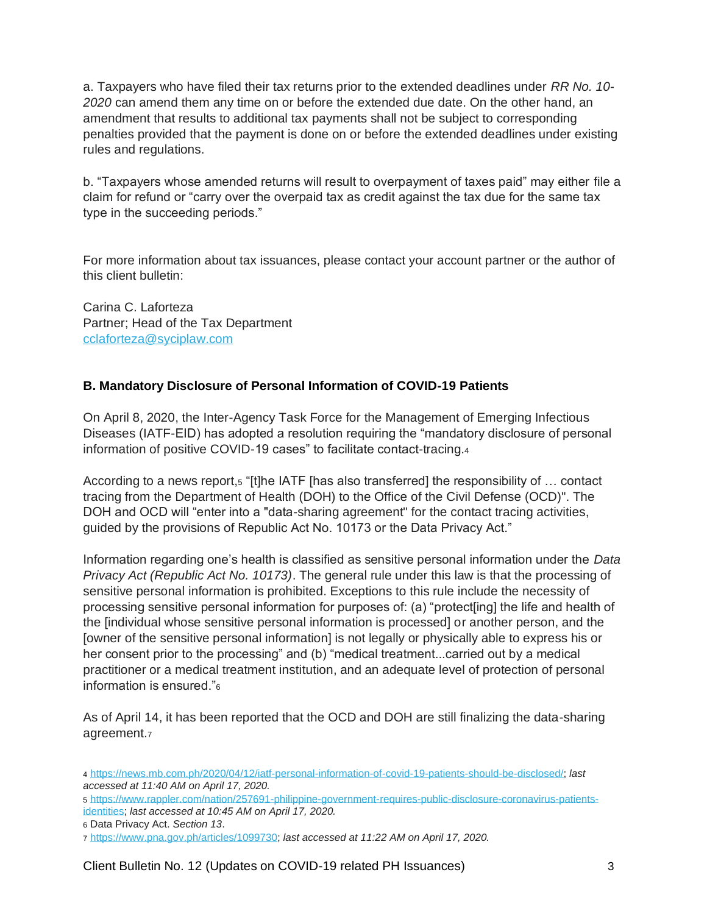a. Taxpayers who have filed their tax returns prior to the extended deadlines under *RR No. 10- 2020* can amend them any time on or before the extended due date. On the other hand, an amendment that results to additional tax payments shall not be subject to corresponding penalties provided that the payment is done on or before the extended deadlines under existing rules and regulations.

b. "Taxpayers whose amended returns will result to overpayment of taxes paid" may either file a claim for refund or "carry over the overpaid tax as credit against the tax due for the same tax type in the succeeding periods."

For more information about tax issuances, please contact your account partner or the author of this client bulletin:

Carina C. Laforteza Partner; Head of the Tax Department [cclaforteza@syciplaw.com](mailto:cclaforteza@syciplaw.com)

## <span id="page-2-0"></span>**B. Mandatory Disclosure of Personal Information of COVID-19 Patients**

On April 8, 2020, the Inter-Agency Task Force for the Management of Emerging Infectious Diseases (IATF-EID) has adopted a resolution requiring the "mandatory disclosure of personal information of positive COVID-19 cases" to facilitate contact-tracing.<sup>4</sup>

According to a news report,<sup>5</sup> "[t]he IATF [has also transferred] the responsibility of ... contact tracing from the Department of Health (DOH) to the Office of the Civil Defense (OCD)". The DOH and OCD will "enter into a "data-sharing agreement" for the contact tracing activities, guided by the provisions of Republic Act No. 10173 or the Data Privacy Act."

Information regarding one's health is classified as sensitive personal information under the *Data Privacy Act (Republic Act No. 10173)*. The general rule under this law is that the processing of sensitive personal information is prohibited. Exceptions to this rule include the necessity of processing sensitive personal information for purposes of: (a) "protect[ing] the life and health of the [individual whose sensitive personal information is processed] or another person, and the [owner of the sensitive personal information] is not legally or physically able to express his or her consent prior to the processing" and (b) "medical treatment...carried out by a medical practitioner or a medical treatment institution, and an adequate level of protection of personal information is ensured."<sup>6</sup>

<span id="page-2-1"></span>As of April 14, it has been reported that the OCD and DOH are still finalizing the data-sharing agreement.<sup>7</sup>

6 Data Privacy Act. *Section 13*.

<sup>4</sup> [https://news.mb.com.ph/2020/04/12/iatf-personal-information-of-covid-19-patients-should-be-disclosed/;](https://news.mb.com.ph/2020/04/12/iatf-personal-information-of-covid-19-patients-should-be-disclosed/) *last accessed at 11:40 AM on April 17, 2020.*

<sup>5</sup> [https://www.rappler.com/nation/257691-philippine-government-requires-public-disclosure-coronavirus-patients](https://www.rappler.com/nation/257691-philippine-government-requires-public-disclosure-coronavirus-patients-identities)[identities;](https://www.rappler.com/nation/257691-philippine-government-requires-public-disclosure-coronavirus-patients-identities) *last accessed at 10:45 AM on April 17, 2020.*

<sup>7</sup> [https://www.pna.gov.ph/articles/1099730;](https://www.pna.gov.ph/articles/1099730) *last accessed at 11:22 AM on April 17, 2020.*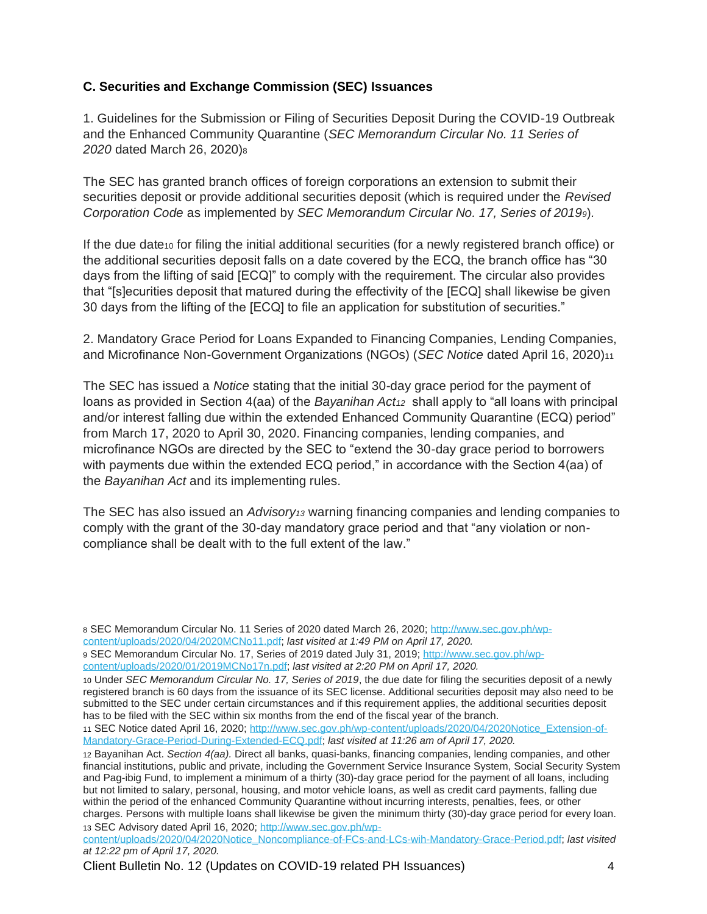## **C. Securities and Exchange Commission (SEC) Issuances**

1. Guidelines for the Submission or Filing of Securities Deposit During the COVID-19 Outbreak and the Enhanced Community Quarantine (*SEC Memorandum Circular No. 11 Series of 2020* dated March 26, 2020)<sup>8</sup>

The SEC has granted branch offices of foreign corporations an extension to submit their securities deposit or provide additional securities deposit (which is required under the *Revised Corporation Code* as implemented by *SEC Memorandum Circular No. 17, Series of 20199*)*.*

If the due date<sup>10</sup> for filing the initial additional securities (for a newly registered branch office) or the additional securities deposit falls on a date covered by the ECQ, the branch office has "30 days from the lifting of said [ECQ]" to comply with the requirement. The circular also provides that "[s]ecurities deposit that matured during the effectivity of the [ECQ] shall likewise be given 30 days from the lifting of the [ECQ] to file an application for substitution of securities."

2. Mandatory Grace Period for Loans Expanded to Financing Companies, Lending Companies, and Microfinance Non-Government Organizations (NGOs) (*SEC Notice* dated April 16, 2020)<sup>11</sup>

The SEC has issued a *Notice* stating that the initial 30-day grace period for the payment of loans as provided in Section 4(aa) of the *Bayanihan Act<sup>12</sup>* shall apply to "all loans with principal and/or interest falling due within the extended Enhanced Community Quarantine (ECQ) period" from March 17, 2020 to April 30, 2020. Financing companies, lending companies, and microfinance NGOs are directed by the SEC to "extend the 30-day grace period to borrowers with payments due within the extended ECQ period," in accordance with the Section 4(aa) of the *Bayanihan Act* and its implementing rules.

The SEC has also issued an *Advisory<sup>13</sup>* warning financing companies and lending companies to comply with the grant of the 30-day mandatory grace period and that "any violation or noncompliance shall be dealt with to the full extent of the law."

11 SEC Notice dated April 16, 2020; [http://www.sec.gov.ph/wp-content/uploads/2020/04/2020Notice\\_Extension-of-](http://www.sec.gov.ph/wp-content/uploads/2020/04/2020Notice_Extension-of-Mandatory-Grace-Period-During-Extended-ECQ.pdf)[Mandatory-Grace-Period-During-Extended-ECQ.pdf;](http://www.sec.gov.ph/wp-content/uploads/2020/04/2020Notice_Extension-of-Mandatory-Grace-Period-During-Extended-ECQ.pdf) *last visited at 11:26 am of April 17, 2020.*

<sup>8</sup> SEC Memorandum Circular No. 11 Series of 2020 dated March 26, 2020; [http://www.sec.gov.ph/wp](http://www.sec.gov.ph/wp-content/uploads/2020/04/2020MCNo11.pdf)[content/uploads/2020/04/2020MCNo11.pdf;](http://www.sec.gov.ph/wp-content/uploads/2020/04/2020MCNo11.pdf) *last visited at 1:49 PM on April 17, 2020.*

<sup>9</sup> SEC Memorandum Circular No. 17, Series of 2019 dated July 31, 2019; [http://www.sec.gov.ph/wp-](http://www.sec.gov.ph/wp-content/uploads/2020/01/2019MCNo17n.pdf)

[content/uploads/2020/01/2019MCNo17n.pdf;](http://www.sec.gov.ph/wp-content/uploads/2020/01/2019MCNo17n.pdf) *last visited at 2:20 PM on April 17, 2020.*

<sup>10</sup> Under *SEC Memorandum Circular No. 17, Series of 2019*, the due date for filing the securities deposit of a newly registered branch is 60 days from the issuance of its SEC license. Additional securities deposit may also need to be submitted to the SEC under certain circumstances and if this requirement applies, the additional securities deposit has to be filed with the SEC within six months from the end of the fiscal year of the branch.

<sup>12</sup> Bayanihan Act. *Section 4(aa).* Direct all banks, quasi-banks, financing companies, lending companies, and other financial institutions, public and private, including the Government Service Insurance System, Social Security System and Pag-ibig Fund, to implement a minimum of a thirty (30)-day grace period for the payment of all loans, including but not limited to salary, personal, housing, and motor vehicle loans, as well as credit card payments, falling due within the period of the enhanced Community Quarantine without incurring interests, penalties, fees, or other charges. Persons with multiple loans shall likewise be given the minimum thirty (30)-day grace period for every loan. 13 SEC Advisory dated April 16, 2020; [http://www.sec.gov.ph/wp-](http://www.sec.gov.ph/wp-content/uploads/2020/04/2020Notice_Noncompliance-of-FCs-and-LCs-wih-Mandatory-Grace-Period.pdf)

[content/uploads/2020/04/2020Notice\\_Noncompliance-of-FCs-and-LCs-wih-Mandatory-Grace-Period.pdf;](http://www.sec.gov.ph/wp-content/uploads/2020/04/2020Notice_Noncompliance-of-FCs-and-LCs-wih-Mandatory-Grace-Period.pdf) *last visited at 12:22 pm of April 17, 2020.*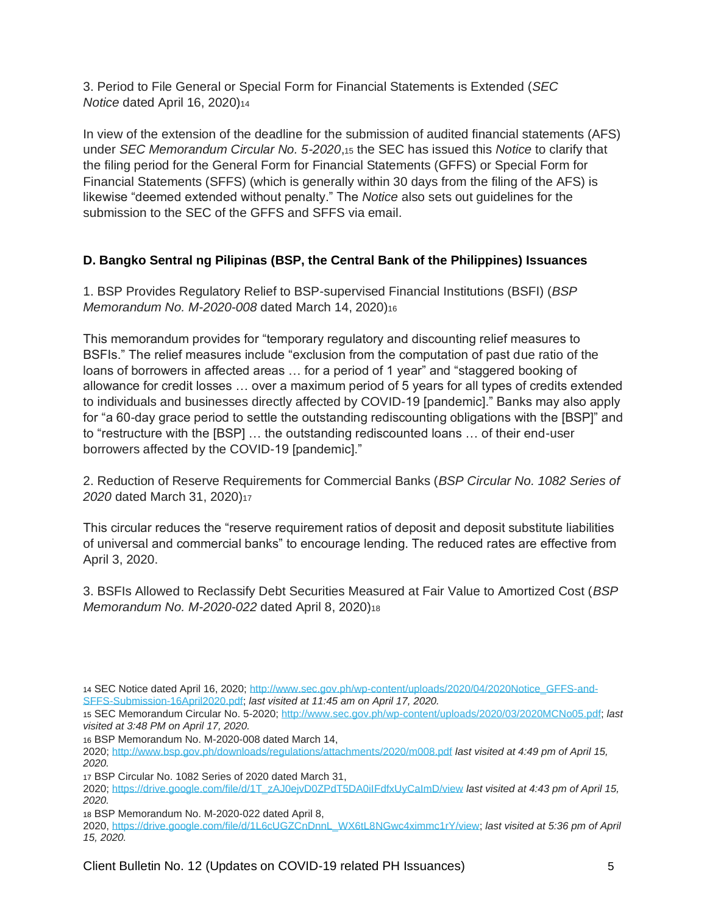3. Period to File General or Special Form for Financial Statements is Extended (*SEC Notice* dated April 16, 2020)<sup>14</sup>

In view of the extension of the deadline for the submission of audited financial statements (AFS) under *SEC Memorandum Circular No. 5-2020*,<sup>15</sup> the SEC has issued this *Notice* to clarify that the filing period for the General Form for Financial Statements (GFFS) or Special Form for Financial Statements (SFFS) (which is generally within 30 days from the filing of the AFS) is likewise "deemed extended without penalty." The *Notice* also sets out guidelines for the submission to the SEC of the GFFS and SFFS via email.

# <span id="page-4-0"></span>**D. Bangko Sentral ng Pilipinas (BSP, the Central Bank of the Philippines) Issuances**

1. BSP Provides Regulatory Relief to BSP-supervised Financial Institutions (BSFI) (*BSP Memorandum No. M-2020-008* dated March 14, 2020)<sup>16</sup>

This memorandum provides for "temporary regulatory and discounting relief measures to BSFIs." The relief measures include "exclusion from the computation of past due ratio of the loans of borrowers in affected areas … for a period of 1 year" and "staggered booking of allowance for credit losses … over a maximum period of 5 years for all types of credits extended to individuals and businesses directly affected by COVID-19 [pandemic]." Banks may also apply for "a 60-day grace period to settle the outstanding rediscounting obligations with the [BSP]" and to "restructure with the [BSP] … the outstanding rediscounted loans … of their end-user borrowers affected by the COVID-19 [pandemic]."

2. Reduction of Reserve Requirements for Commercial Banks (*BSP Circular No. 1082 Series of 2020* dated March 31, 2020)<sup>17</sup>

This circular reduces the "reserve requirement ratios of deposit and deposit substitute liabilities of universal and commercial banks" to encourage lending. The reduced rates are effective from April 3, 2020.

3. BSFIs Allowed to Reclassify Debt Securities Measured at Fair Value to Amortized Cost (*BSP Memorandum No. M-2020-022* dated April 8, 2020)<sup>18</sup>

18 BSP Memorandum No. M-2020-022 dated April 8,

2020, [https://drive.google.com/file/d/1L6cUGZCnDnnL\\_WX6tL8NGwc4ximmc1rY/view;](https://drive.google.com/file/d/1L6cUGZCnDnnL_WX6tL8NGwc4ximmc1rY/view) *last visited at 5:36 pm of April 15, 2020.*

<sup>14</sup> SEC Notice dated April 16, 2020; [http://www.sec.gov.ph/wp-content/uploads/2020/04/2020Notice\\_GFFS-and-](http://www.sec.gov.ph/wp-content/uploads/2020/04/2020Notice_GFFS-and-SFFS-Submission-16April2020.pdf)[SFFS-Submission-16April2020.pdf;](http://www.sec.gov.ph/wp-content/uploads/2020/04/2020Notice_GFFS-and-SFFS-Submission-16April2020.pdf) *last visited at 11:45 am on April 17, 2020.*

<sup>15</sup> SEC Memorandum Circular No. 5-2020; [http://www.sec.gov.ph/wp-content/uploads/2020/03/2020MCNo05.pdf;](http://www.sec.gov.ph/wp-content/uploads/2020/03/2020MCNo05.pdf) *last visited at 3:48 PM on April 17, 2020.*

<sup>16</sup> BSP Memorandum No. M-2020-008 dated March 14,

<sup>2020;</sup> <http://www.bsp.gov.ph/downloads/regulations/attachments/2020/m008.pdf> *last visited at 4:49 pm of April 15, 2020.*

<sup>17</sup> BSP Circular No. 1082 Series of 2020 dated March 31,

<sup>2020;</sup> [https://drive.google.com/file/d/1T\\_zAJ0ejvD0ZPdT5DA0iIFdfxUyCaImD/view](https://drive.google.com/file/d/1T_zAJ0ejvD0ZPdT5DA0iIFdfxUyCaImD/view) *last visited at 4:43 pm of April 15, 2020.*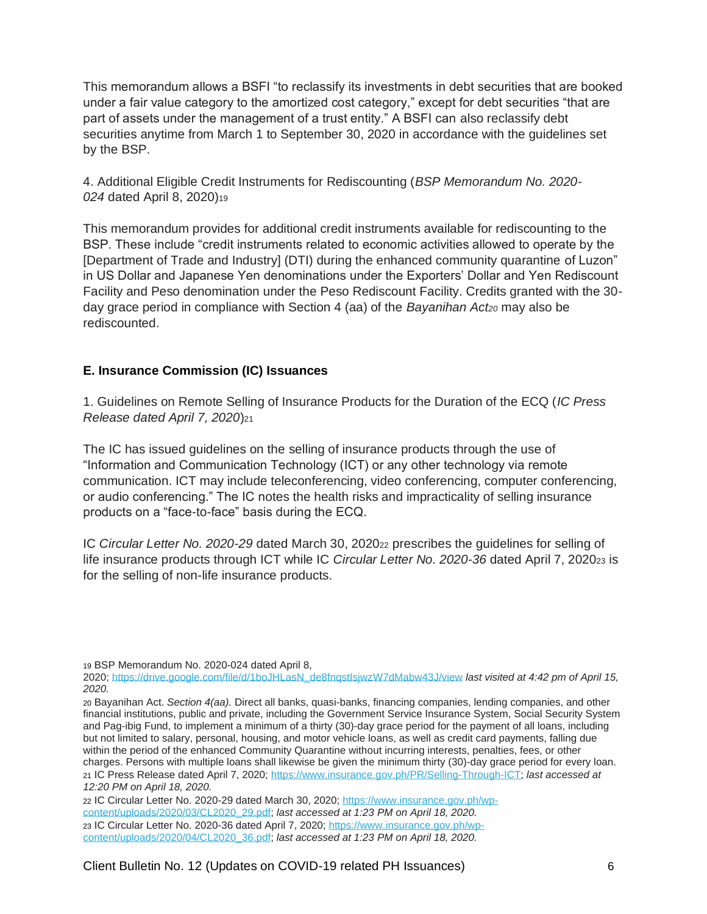This memorandum allows a BSFI "to reclassify its investments in debt securities that are booked under a fair value category to the amortized cost category," except for debt securities "that are part of assets under the management of a trust entity." A BSFI can also reclassify debt securities anytime from March 1 to September 30, 2020 in accordance with the guidelines set by the BSP.

4. Additional Eligible Credit Instruments for Rediscounting (*BSP Memorandum No. 2020- 024* dated April 8, 2020)<sup>19</sup>

This memorandum provides for additional credit instruments available for rediscounting to the BSP. These include "credit instruments related to economic activities allowed to operate by the [Department of Trade and Industry] (DTI) during the enhanced community quarantine of Luzon" in US Dollar and Japanese Yen denominations under the Exporters' Dollar and Yen Rediscount Facility and Peso denomination under the Peso Rediscount Facility. Credits granted with the 30 day grace period in compliance with Section 4 (aa) of the *Bayanihan Act<sup>20</sup>* may also be rediscounted.

## <span id="page-5-0"></span>**E. Insurance Commission (IC) Issuances**

1. Guidelines on Remote Selling of Insurance Products for the Duration of the ECQ (*IC Press Release dated April 7, 2020*)<sup>21</sup>

The IC has issued guidelines on the selling of insurance products through the use of "Information and Communication Technology (ICT) or any other technology via remote communication. ICT may include teleconferencing, video conferencing, computer conferencing, or audio conferencing." The IC notes the health risks and impracticality of selling insurance products on a "face-to-face" basis during the ECQ.

IC *Circular Letter No. 2020-29* dated March 30, 2020<sup>22</sup> prescribes the guidelines for selling of life insurance products through ICT while IC *Circular Letter No. 2020-36* dated April 7, 2020<sub>23</sub> is for the selling of non-life insurance products.

19 BSP Memorandum No. 2020-024 dated April 8,

2020; [https://drive.google.com/file/d/1boJHLasN\\_de8fnqstIsjwzW7dMabw43J/view](https://drive.google.com/file/d/1boJHLasN_de8fnqstIsjwzW7dMabw43J/view) *last visited at 4:42 pm of April 15, 2020.*

20 Bayanihan Act. *Section 4(aa).* Direct all banks, quasi-banks, financing companies, lending companies, and other financial institutions, public and private, including the Government Service Insurance System, Social Security System and Pag-ibig Fund, to implement a minimum of a thirty (30)-day grace period for the payment of all loans, including but not limited to salary, personal, housing, and motor vehicle loans, as well as credit card payments, falling due within the period of the enhanced Community Quarantine without incurring interests, penalties, fees, or other charges. Persons with multiple loans shall likewise be given the minimum thirty (30)-day grace period for every loan. 21 IC Press Release dated April 7, 2020; [https://www.insurance.gov.ph/PR/Selling-Through-ICT;](https://www.insurance.gov.ph/PR/Selling-Through-ICT) *last accessed at 12:20 PM on April 18, 2020.*

22 IC Circular Letter No. 2020-29 dated March 30, 2020; [https://www.insurance.gov.ph/wp](https://www.insurance.gov.ph/wp-content/uploads/2020/03/CL2020_29.pdf)[content/uploads/2020/03/CL2020\\_29.pdf;](https://www.insurance.gov.ph/wp-content/uploads/2020/03/CL2020_29.pdf) *last accessed at 1:23 PM on April 18, 2020.* 23 IC Circular Letter No. 2020-36 dated April 7, 2020; [https://www.insurance.gov.ph/wp](https://www.insurance.gov.ph/wp-content/uploads/2020/04/CL2020_36.pdf)[content/uploads/2020/04/CL2020\\_36.pdf;](https://www.insurance.gov.ph/wp-content/uploads/2020/04/CL2020_36.pdf) *last accessed at 1:23 PM on April 18, 2020.*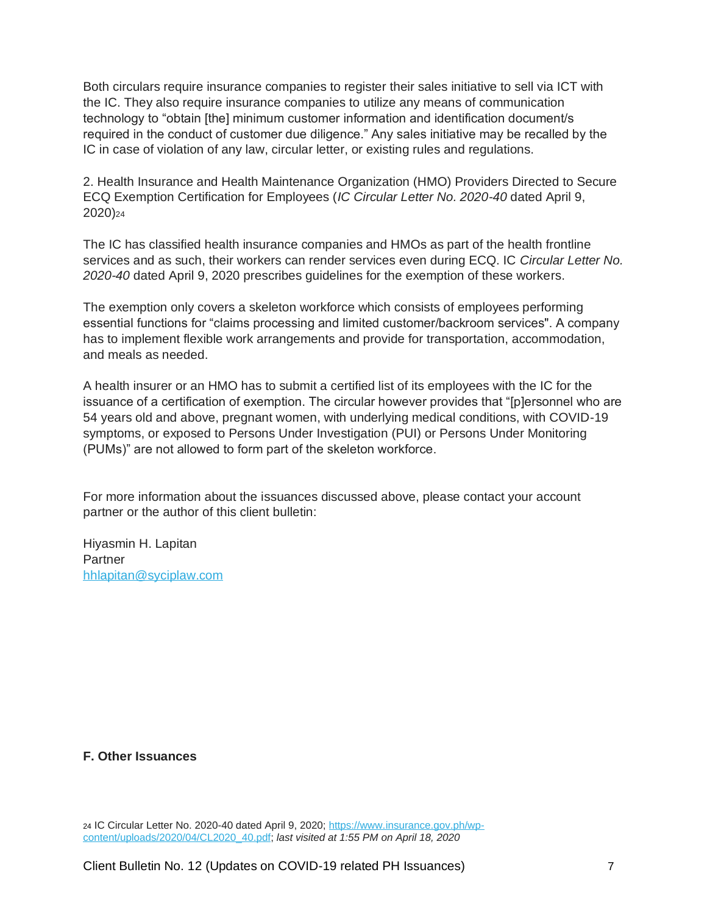Both circulars require insurance companies to register their sales initiative to sell via ICT with the IC. They also require insurance companies to utilize any means of communication technology to "obtain [the] minimum customer information and identification document/s required in the conduct of customer due diligence." Any sales initiative may be recalled by the IC in case of violation of any law, circular letter, or existing rules and regulations.

2. Health Insurance and Health Maintenance Organization (HMO) Providers Directed to Secure ECQ Exemption Certification for Employees (*IC Circular Letter No. 2020-40* dated April 9, 2020)<sup>24</sup>

The IC has classified health insurance companies and HMOs as part of the health frontline services and as such, their workers can render services even during ECQ. IC *Circular Letter No. 2020-40* dated April 9, 2020 prescribes guidelines for the exemption of these workers.

The exemption only covers a skeleton workforce which consists of employees performing essential functions for "claims processing and limited customer/backroom services". A company has to implement flexible work arrangements and provide for transportation, accommodation, and meals as needed.

A health insurer or an HMO has to submit a certified list of its employees with the IC for the issuance of a certification of exemption. The circular however provides that "[p]ersonnel who are 54 years old and above, pregnant women, with underlying medical conditions, with COVID-19 symptoms, or exposed to Persons Under Investigation (PUI) or Persons Under Monitoring (PUMs)" are not allowed to form part of the skeleton workforce.

For more information about the issuances discussed above, please contact your account partner or the author of this client bulletin:

Hiyasmin H. Lapitan **Partner** [hhlapitan@syciplaw.com](mailto:hhlapitan@syciplaw.com)

#### <span id="page-6-0"></span>**F. Other Issuances**

<sup>24</sup> IC Circular Letter No. 2020-40 dated April 9, 2020; [https://www.insurance.gov.ph/wp](https://www.insurance.gov.ph/wp-content/uploads/2020/04/CL2020_40.pdf)[content/uploads/2020/04/CL2020\\_40.pdf;](https://www.insurance.gov.ph/wp-content/uploads/2020/04/CL2020_40.pdf) *last visited at 1:55 PM on April 18, 2020*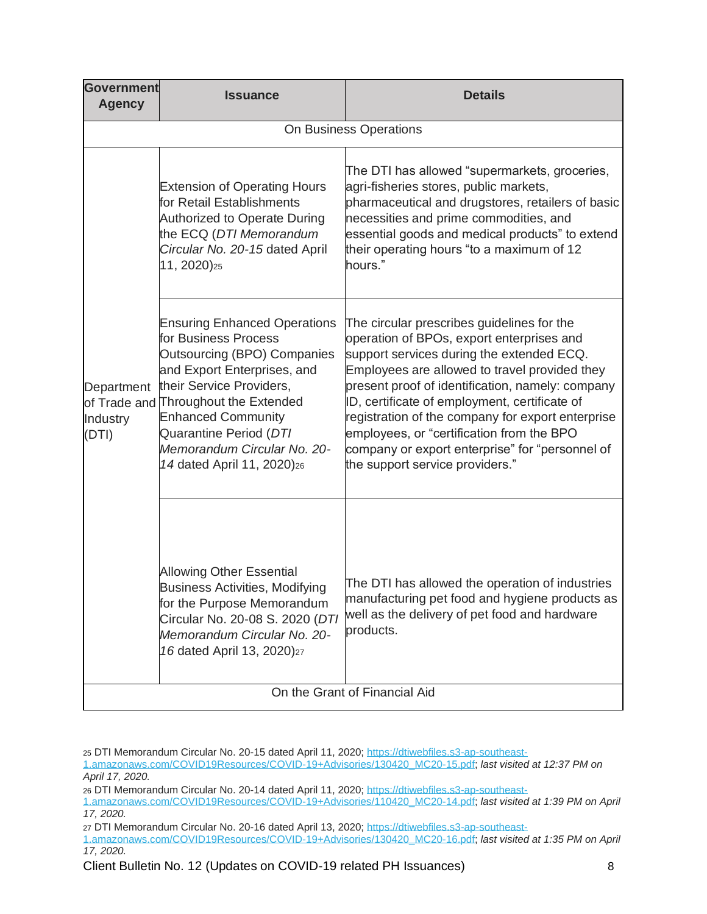| <b>Government</b><br><b>Agency</b>              | <b>Issuance</b>                                                                                                                                                                                                                                                                                                                | <b>Details</b>                                                                                                                                                                                                                                                                                                                                                                                                                                                                     |  |  |
|-------------------------------------------------|--------------------------------------------------------------------------------------------------------------------------------------------------------------------------------------------------------------------------------------------------------------------------------------------------------------------------------|------------------------------------------------------------------------------------------------------------------------------------------------------------------------------------------------------------------------------------------------------------------------------------------------------------------------------------------------------------------------------------------------------------------------------------------------------------------------------------|--|--|
| On Business Operations                          |                                                                                                                                                                                                                                                                                                                                |                                                                                                                                                                                                                                                                                                                                                                                                                                                                                    |  |  |
| Department<br>of Trade and<br>Industry<br>(DTI) | <b>Extension of Operating Hours</b><br>for Retail Establishments<br><b>Authorized to Operate During</b><br>the ECQ (DTI Memorandum<br>Circular No. 20-15 dated April<br>11, 2020) <sub>25</sub>                                                                                                                                | The DTI has allowed "supermarkets, groceries,<br>agri-fisheries stores, public markets,<br>pharmaceutical and drugstores, retailers of basic<br>necessities and prime commodities, and<br>essential goods and medical products" to extend<br>their operating hours "to a maximum of 12<br>hours."                                                                                                                                                                                  |  |  |
|                                                 | <b>Ensuring Enhanced Operations</b><br>for Business Process<br><b>Outsourcing (BPO) Companies</b><br>and Export Enterprises, and<br>their Service Providers,<br><b>Throughout the Extended</b><br><b>Enhanced Community</b><br>Quarantine Period (DTI<br>Memorandum Circular No. 20-<br>14 dated April 11, 2020) <sub>26</sub> | The circular prescribes guidelines for the<br>operation of BPOs, export enterprises and<br>support services during the extended ECQ.<br>Employees are allowed to travel provided they<br>present proof of identification, namely: company<br>ID, certificate of employment, certificate of<br>registration of the company for export enterprise<br>employees, or "certification from the BPO<br>company or export enterprise" for "personnel of<br>the support service providers." |  |  |
|                                                 | <b>Allowing Other Essential</b><br><b>Business Activities, Modifying</b><br>for the Purpose Memorandum<br>Circular No. 20-08 S. 2020 (DTI<br>Memorandum Circular No. 20-<br>16 dated April 13, 2020)27                                                                                                                         | The DTI has allowed the operation of industries<br>manufacturing pet food and hygiene products as<br>well as the delivery of pet food and hardware<br>products.                                                                                                                                                                                                                                                                                                                    |  |  |
| On the Grant of Financial Aid                   |                                                                                                                                                                                                                                                                                                                                |                                                                                                                                                                                                                                                                                                                                                                                                                                                                                    |  |  |

<sup>25</sup> DTI Memorandum Circular No. 20-15 dated April 11, 2020; [https://dtiwebfiles.s3-ap-southeast-](https://dtiwebfiles.s3-ap-southeast-1.amazonaws.com/COVID19Resources/COVID-19+Advisories/130420_MC20-15.pdf)

[<sup>1.</sup>amazonaws.com/COVID19Resources/COVID-19+Advisories/130420\\_MC20-15.pdf;](https://dtiwebfiles.s3-ap-southeast-1.amazonaws.com/COVID19Resources/COVID-19+Advisories/130420_MC20-15.pdf) *last visited at 12:37 PM on April 17, 2020.*

<sup>26</sup> DTI Memorandum Circular No. 20-14 dated April 11, 2020; [https://dtiwebfiles.s3-ap-southeast-](https://dtiwebfiles.s3-ap-southeast-1.amazonaws.com/COVID19Resources/COVID-19+Advisories/110420_MC20-14.pdf)

[<sup>1.</sup>amazonaws.com/COVID19Resources/COVID-19+Advisories/110420\\_MC20-14.pdf;](https://dtiwebfiles.s3-ap-southeast-1.amazonaws.com/COVID19Resources/COVID-19+Advisories/110420_MC20-14.pdf) *last visited at 1:39 PM on April 17, 2020.*

<sup>27</sup> DTI Memorandum Circular No. 20-16 dated April 13, 2020; [https://dtiwebfiles.s3-ap-southeast-](https://dtiwebfiles.s3-ap-southeast-1.amazonaws.com/COVID19Resources/COVID-19+Advisories/130420_MC20-16.pdf)

[<sup>1.</sup>amazonaws.com/COVID19Resources/COVID-19+Advisories/130420\\_MC20-16.pdf;](https://dtiwebfiles.s3-ap-southeast-1.amazonaws.com/COVID19Resources/COVID-19+Advisories/130420_MC20-16.pdf) *last visited at 1:35 PM on April 17, 2020.*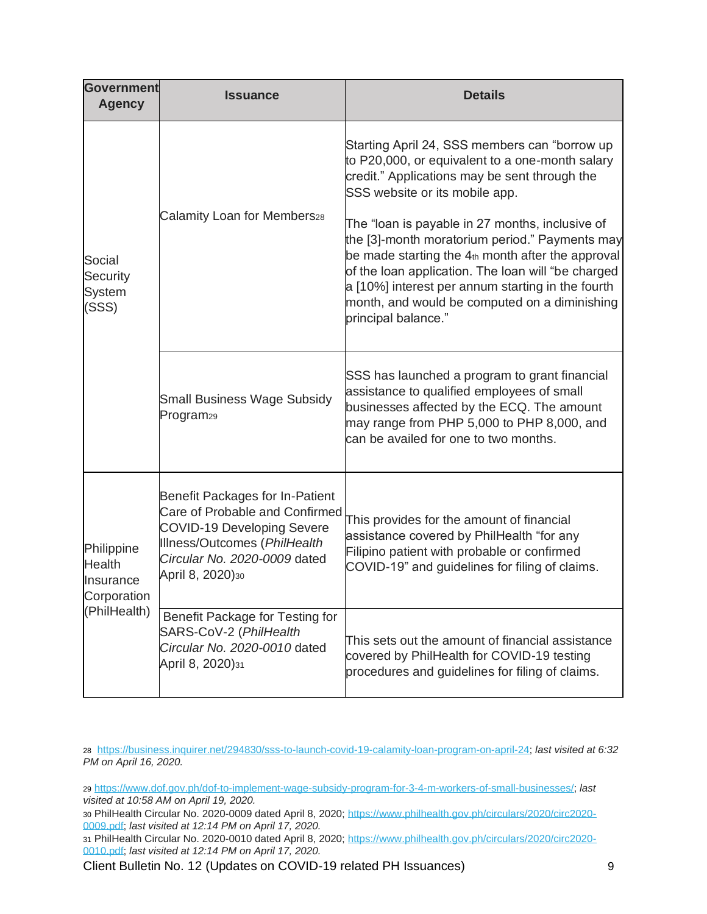| <b>Government</b><br><b>Agency</b>                                      | <b>Issuance</b>                                                                                                                                                                                   | <b>Details</b>                                                                                                                                                                                                                                                                                                                                                                                                                                                                                                                   |
|-------------------------------------------------------------------------|---------------------------------------------------------------------------------------------------------------------------------------------------------------------------------------------------|----------------------------------------------------------------------------------------------------------------------------------------------------------------------------------------------------------------------------------------------------------------------------------------------------------------------------------------------------------------------------------------------------------------------------------------------------------------------------------------------------------------------------------|
| Social<br><b>Security</b><br><b>System</b><br>(SSS)                     | Calamity Loan for Members28                                                                                                                                                                       | Starting April 24, SSS members can "borrow up<br>to P20,000, or equivalent to a one-month salary<br>credit." Applications may be sent through the<br>SSS website or its mobile app.<br>The "loan is payable in 27 months, inclusive of<br>the [3]-month moratorium period." Payments may<br>be made starting the 4th month after the approval<br>of the loan application. The loan will "be charged<br>a [10%] interest per annum starting in the fourth<br>month, and would be computed on a diminishing<br>principal balance." |
|                                                                         | <b>Small Business Wage Subsidy</b><br>Program <sub>29</sub>                                                                                                                                       | SSS has launched a program to grant financial<br>assistance to qualified employees of small<br>businesses affected by the ECQ. The amount<br>may range from PHP 5,000 to PHP 8,000, and<br>can be availed for one to two months.                                                                                                                                                                                                                                                                                                 |
| Philippine<br><b>Health</b><br>Insurance<br>Corporation<br>(PhilHealth) | <b>Benefit Packages for In-Patient</b><br>Care of Probable and Confirmed<br><b>COVID-19 Developing Severe</b><br>Illness/Outcomes (PhilHealth<br>Circular No. 2020-0009 dated<br>April 8, 2020)30 | This provides for the amount of financial<br>assistance covered by PhilHealth "for any<br>Filipino patient with probable or confirmed<br>COVID-19" and guidelines for filing of claims.                                                                                                                                                                                                                                                                                                                                          |
|                                                                         | Benefit Package for Testing for<br>SARS-CoV-2 (PhilHealth<br>Circular No. 2020-0010 dated<br>April 8, 2020)31                                                                                     | This sets out the amount of financial assistance<br>covered by PhilHealth for COVID-19 testing<br>procedures and guidelines for filing of claims.                                                                                                                                                                                                                                                                                                                                                                                |

28 [https://business.inquirer.net/294830/sss-to-launch-covid-19-calamity-loan-program-on-april-24;](https://business.inquirer.net/294830/sss-to-launch-covid-19-calamity-loan-program-on-april-24) *last visited at 6:32 PM on April 16, 2020.*

29 [https://www.dof.gov.ph/dof-to-implement-wage-subsidy-program-for-3-4-m-workers-of-small-businesses/;](https://www.dof.gov.ph/dof-to-implement-wage-subsidy-program-for-3-4-m-workers-of-small-businesses/) *last visited at 10:58 AM on April 19, 2020.*

30 PhilHealth Circular No. 2020-0009 dated April 8, 2020; [https://www.philhealth.gov.ph/circulars/2020/circ2020-](https://www.philhealth.gov.ph/circulars/2020/circ2020-0009.pdf) [0009.pdf;](https://www.philhealth.gov.ph/circulars/2020/circ2020-0009.pdf) *last visited at 12:14 PM on April 17, 2020.*

31 PhilHealth Circular No. 2020-0010 dated April 8, 2020; [https://www.philhealth.gov.ph/circulars/2020/circ2020-](https://www.philhealth.gov.ph/circulars/2020/circ2020-0010.pdf) [0010.pdf;](https://www.philhealth.gov.ph/circulars/2020/circ2020-0010.pdf) *last visited at 12:14 PM on April 17, 2020.*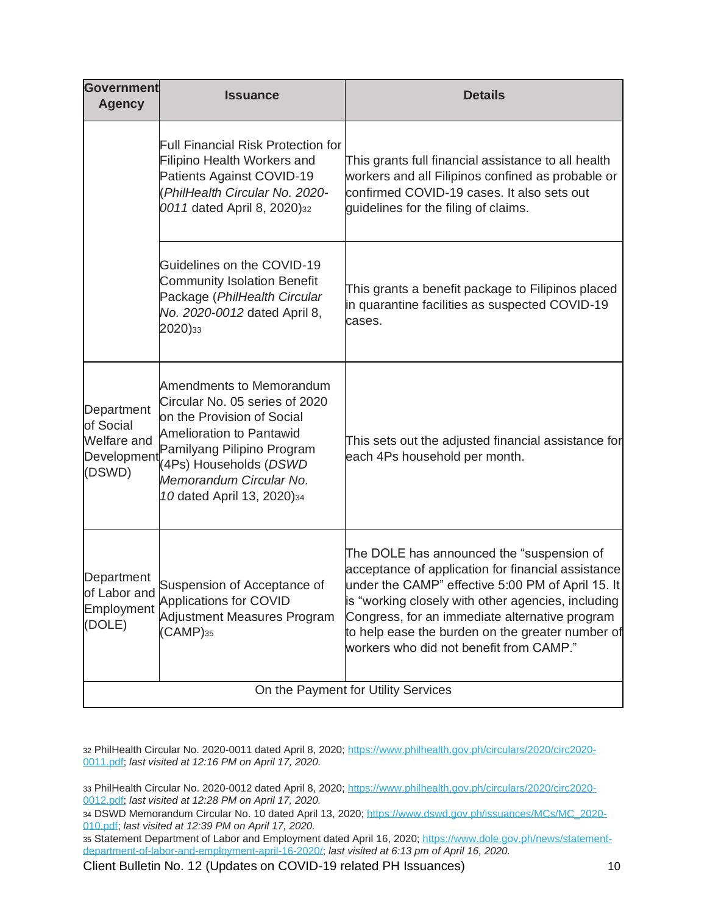| <b>Government</b><br><b>Agency</b>                                     | <b>Issuance</b>                                                                                                                                                                                                                                     | <b>Details</b>                                                                                                                                                                                                                                                                                                                                              |  |
|------------------------------------------------------------------------|-----------------------------------------------------------------------------------------------------------------------------------------------------------------------------------------------------------------------------------------------------|-------------------------------------------------------------------------------------------------------------------------------------------------------------------------------------------------------------------------------------------------------------------------------------------------------------------------------------------------------------|--|
|                                                                        | <b>Full Financial Risk Protection for</b><br>Filipino Health Workers and<br>Patients Against COVID-19<br>(PhilHealth Circular No. 2020-<br>0011 dated April 8, 2020)32                                                                              | This grants full financial assistance to all health<br>workers and all Filipinos confined as probable or<br>confirmed COVID-19 cases. It also sets out<br>guidelines for the filing of claims.                                                                                                                                                              |  |
|                                                                        | Guidelines on the COVID-19<br><b>Community Isolation Benefit</b><br>Package (PhilHealth Circular<br>No. 2020-0012 dated April 8,<br>2020)33                                                                                                         | This grants a benefit package to Filipinos placed<br>in quarantine facilities as suspected COVID-19<br>cases.                                                                                                                                                                                                                                               |  |
| Department<br>of Social<br><b>Welfare</b> and<br>Development<br>(DSWD) | <b>Amendments to Memorandum</b><br>Circular No. 05 series of 2020<br>on the Provision of Social<br><b>Amelioration to Pantawid</b><br>Pamilyang Pilipino Program<br>(4Ps) Households (DSWD<br>Memorandum Circular No.<br>10 dated April 13, 2020)34 | This sets out the adjusted financial assistance for<br>each 4Ps household per month.                                                                                                                                                                                                                                                                        |  |
| Department<br>of Labor and<br>Employment<br>(DOLE)                     | Suspension of Acceptance of<br>Applications for COVID<br><b>Adjustment Measures Program</b><br>$(CAMP)_{35}$                                                                                                                                        | The DOLE has announced the "suspension of<br>acceptance of application for financial assistance<br>under the CAMP" effective 5:00 PM of April 15. It<br>is "working closely with other agencies, including<br>Congress, for an immediate alternative program<br>to help ease the burden on the greater number of<br>workers who did not benefit from CAMP." |  |
| On the Payment for Utility Services                                    |                                                                                                                                                                                                                                                     |                                                                                                                                                                                                                                                                                                                                                             |  |

32 PhilHealth Circular No. 2020-0011 dated April 8, 2020; [https://www.philhealth.gov.ph/circulars/2020/circ2020-](https://www.philhealth.gov.ph/circulars/2020/circ2020-0011.pdf) [0011.pdf;](https://www.philhealth.gov.ph/circulars/2020/circ2020-0011.pdf) *last visited at 12:16 PM on April 17, 2020.*

33 PhilHealth Circular No. 2020-0012 dated April 8, 2020; [https://www.philhealth.gov.ph/circulars/2020/circ2020-](https://www.philhealth.gov.ph/circulars/2020/circ2020-0012.pdf) [0012.pdf;](https://www.philhealth.gov.ph/circulars/2020/circ2020-0012.pdf) *last visited at 12:28 PM on April 17, 2020.*

34 DSWD Memorandum Circular No. 10 dated April 13, 2020; [https://www.dswd.gov.ph/issuances/MCs/MC\\_2020-](https://www.dswd.gov.ph/issuances/MCs/MC_2020-010.pdf) [010.pdf;](https://www.dswd.gov.ph/issuances/MCs/MC_2020-010.pdf) *last visited at 12:39 PM on April 17, 2020.*

35 Statement Department of Labor and Employment dated April 16, 2020; [https://www.dole.gov.ph/news/statement](https://www.dole.gov.ph/news/statement-department-of-labor-and-employment-april-16-2020/#_blank)[department-of-labor-and-employment-april-16-2020/;](https://www.dole.gov.ph/news/statement-department-of-labor-and-employment-april-16-2020/#_blank) *last visited at 6:13 pm of April 16, 2020.*

Client Bulletin No. 12 (Updates on COVID-19 related PH Issuances) 10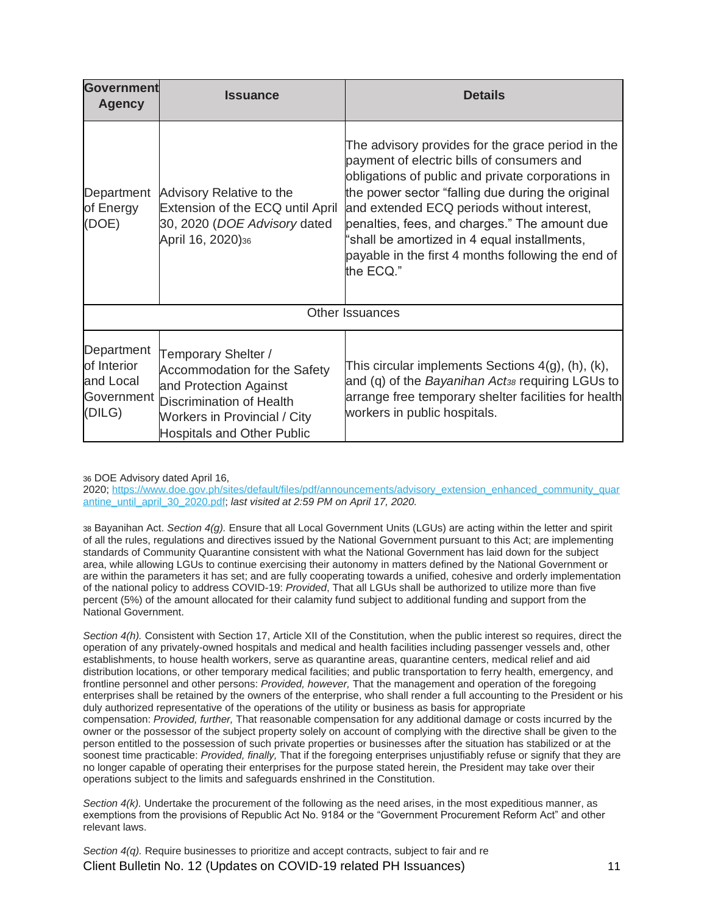| <b>Government</b><br><b>Agency</b>                             | <b>Issuance</b>                                                                                                                                                                              | <b>Details</b>                                                                                                                                                                                                                                                                                                                                                                                                              |  |
|----------------------------------------------------------------|----------------------------------------------------------------------------------------------------------------------------------------------------------------------------------------------|-----------------------------------------------------------------------------------------------------------------------------------------------------------------------------------------------------------------------------------------------------------------------------------------------------------------------------------------------------------------------------------------------------------------------------|--|
| Department<br>of Energy<br>(DOE)                               | Advisory Relative to the<br>Extension of the ECQ until April<br>30, 2020 (DOE Advisory dated<br>April 16, 2020)36                                                                            | The advisory provides for the grace period in the<br>payment of electric bills of consumers and<br>obligations of public and private corporations in<br>the power sector "falling due during the original<br>and extended ECQ periods without interest,<br>penalties, fees, and charges." The amount due<br>'shall be amortized in 4 equal installments,<br>payable in the first 4 months following the end of<br>the ECQ." |  |
| Other Issuances                                                |                                                                                                                                                                                              |                                                                                                                                                                                                                                                                                                                                                                                                                             |  |
| Department<br>of Interior<br>and Local<br>Government<br>(DILG) | Temporary Shelter /<br><b>Accommodation for the Safety</b><br>and Protection Against<br><b>Discrimination of Health</b><br>Workers in Provincial / City<br><b>Hospitals and Other Public</b> | This circular implements Sections $4(g)$ , (h), (k),<br>and (q) of the Bayanihan Act <sub>38</sub> requiring LGUs to<br>arrange free temporary shelter facilities for health<br>workers in public hospitals.                                                                                                                                                                                                                |  |

36 DOE Advisory dated April 16,

2020; [https://www.doe.gov.ph/sites/default/files/pdf/announcements/advisory\\_extension\\_enhanced\\_community\\_quar](https://www.doe.gov.ph/sites/default/files/pdf/announcements/advisory_extension_enhanced_community_quarantine_until_april_30_2020.pdf) [antine\\_until\\_april\\_30\\_2020.pdf;](https://www.doe.gov.ph/sites/default/files/pdf/announcements/advisory_extension_enhanced_community_quarantine_until_april_30_2020.pdf) *last visited at 2:59 PM on April 17, 2020.*

38 Bayanihan Act. *Section 4(g).* Ensure that all Local Government Units (LGUs) are acting within the letter and spirit of all the rules, regulations and directives issued by the National Government pursuant to this Act; are implementing standards of Community Quarantine consistent with what the National Government has laid down for the subject area, while allowing LGUs to continue exercising their autonomy in matters defined by the National Government or are within the parameters it has set; and are fully cooperating towards a unified, cohesive and orderly implementation of the national policy to address COVID-19: *Provided*, That all LGUs shall be authorized to utilize more than five percent (5%) of the amount allocated for their calamity fund subject to additional funding and support from the National Government.

*Section 4(h).* Consistent with Section 17, Article XII of the Constitution, when the public interest so requires, direct the operation of any privately-owned hospitals and medical and health facilities including passenger vessels and, other establishments, to house health workers, serve as quarantine areas, quarantine centers, medical relief and aid distribution locations, or other temporary medical facilities; and public transportation to ferry health, emergency, and frontline personnel and other persons: *Provided, however,* That the management and operation of the foregoing enterprises shall be retained by the owners of the enterprise, who shall render a full accounting to the President or his duly authorized representative of the operations of the utility or business as basis for appropriate compensation: *Provided, further,* That reasonable compensation for any additional damage or costs incurred by the owner or the possessor of the subject property solely on account of complying with the directive shall be given to the person entitled to the possession of such private properties or businesses after the situation has stabilized or at the soonest time practicable: *Provided, finally,* That if the foregoing enterprises unjustifiably refuse or signify that they are no longer capable of operating their enterprises for the purpose stated herein, the President may take over their operations subject to the limits and safeguards enshrined in the Constitution.

*Section 4(k).* Undertake the procurement of the following as the need arises, in the most expeditious manner, as exemptions from the provisions of Republic Act No. 9184 or the "Government Procurement Reform Act" and other relevant laws.

Client Bulletin No. 12 (Updates on COVID-19 related PH Issuances) 11 *Section 4(q).* Require businesses to prioritize and accept contracts, subject to fair and re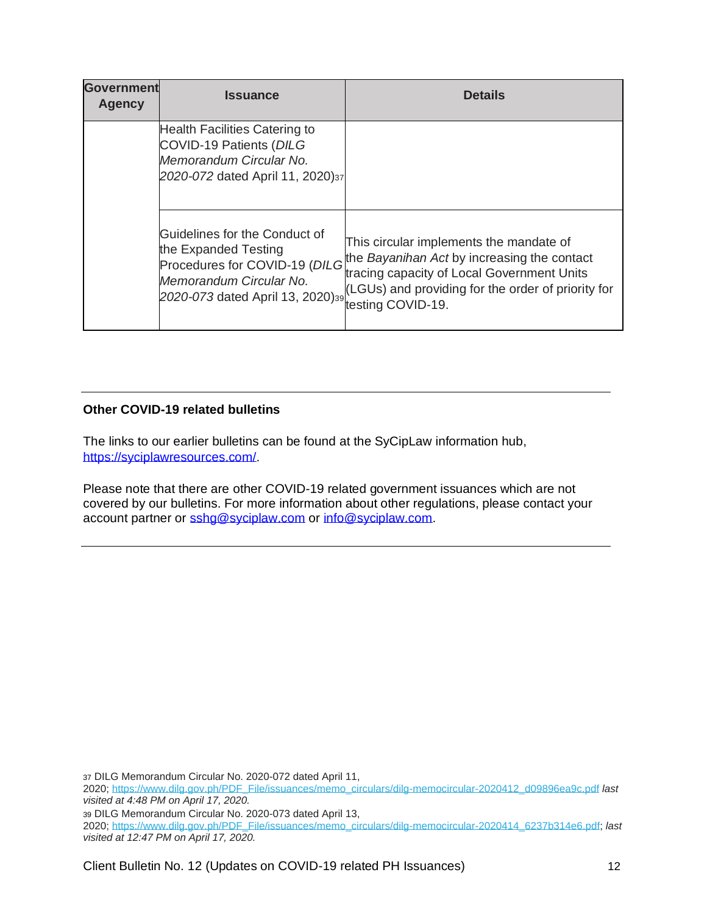| Government<br><b>Agency</b> | <b>Issuance</b>                                                                                                                                       | <b>Details</b>                                                                                                                                                                                                  |
|-----------------------------|-------------------------------------------------------------------------------------------------------------------------------------------------------|-----------------------------------------------------------------------------------------------------------------------------------------------------------------------------------------------------------------|
|                             | <b>Health Facilities Catering to</b><br><b>COVID-19 Patients (DILG</b><br>Memorandum Circular No.<br>2020-072 dated April 11, 2020)37                 |                                                                                                                                                                                                                 |
|                             | Guidelines for the Conduct of<br>the Expanded Testing<br>Procedures for COVID-19 (DILG<br>Memorandum Circular No.<br>2020-073 dated April 13, 2020)39 | This circular implements the mandate of<br>the Bayanihan Act by increasing the contact<br>tracing capacity of Local Government Units<br>(LGUs) and providing for the order of priority for<br>testing COVID-19. |

### **Other COVID-19 related bulletins**

The links to our earlier bulletins can be found at the SyCipLaw information hub, [https://syciplawresources.com/.](https://syciplawresources.com/)

Please note that there are other COVID-19 related government issuances which are not covered by our bulletins. For more information about other regulations, please contact your account partner or [sshg@syciplaw.com](mailto:sshg@syciplaw.com) or [info@syciplaw.com.](mailto:info@syciplaw.com)

37 DILG Memorandum Circular No. 2020-072 dated April 11, 2020; [https://www.dilg.gov.ph/PDF\\_File/issuances/memo\\_circulars/dilg-memocircular-2020412\\_d09896ea9c.pdf](https://www.dilg.gov.ph/PDF_File/issuances/memo_circulars/dilg-memocircular-2020412_d09896ea9c.pdf) *last visited at 4:48 PM on April 17, 2020.* 39 DILG Memorandum Circular No. 2020-073 dated April 13, 2020; [https://www.dilg.gov.ph/PDF\\_File/issuances/memo\\_circulars/dilg-memocircular-2020414\\_6237b314e6.pdf;](https://www.dilg.gov.ph/PDF_File/issuances/memo_circulars/dilg-memocircular-2020414_6237b314e6.pdf) *last visited at 12:47 PM on April 17, 2020.*